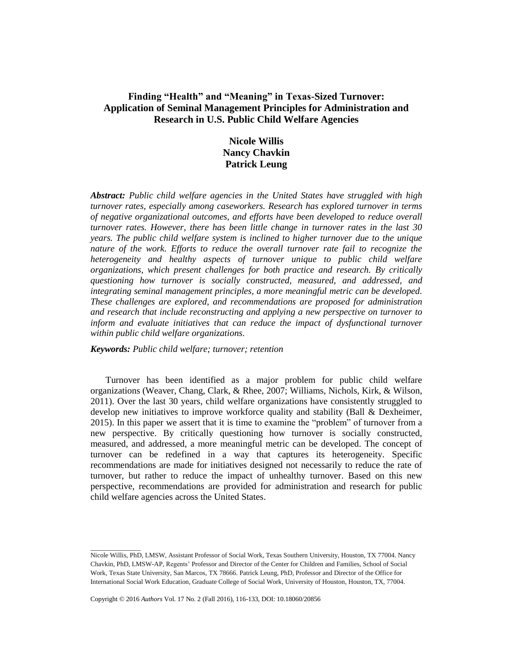# **Finding "Health" and "Meaning" in Texas-Sized Turnover: Application of Seminal Management Principles for Administration and Research in U.S. Public Child Welfare Agencies**

# **Nicole Willis Nancy Chavkin Patrick Leung**

*Abstract: Public child welfare agencies in the United States have struggled with high turnover rates, especially among caseworkers. Research has explored turnover in terms of negative organizational outcomes, and efforts have been developed to reduce overall turnover rates. However, there has been little change in turnover rates in the last 30 years. The public child welfare system is inclined to higher turnover due to the unique nature of the work. Efforts to reduce the overall turnover rate fail to recognize the heterogeneity and healthy aspects of turnover unique to public child welfare organizations, which present challenges for both practice and research. By critically questioning how turnover is socially constructed, measured, and addressed, and integrating seminal management principles, a more meaningful metric can be developed. These challenges are explored, and recommendations are proposed for administration and research that include reconstructing and applying a new perspective on turnover to inform and evaluate initiatives that can reduce the impact of dysfunctional turnover within public child welfare organizations.*

*Keywords: Public child welfare; turnover; retention*

Turnover has been identified as a major problem for public child welfare organizations (Weaver, Chang, Clark, & Rhee, 2007; Williams, Nichols, Kirk, & Wilson, 2011). Over the last 30 years, child welfare organizations have consistently struggled to develop new initiatives to improve workforce quality and stability (Ball & Dexheimer, 2015). In this paper we assert that it is time to examine the "problem" of turnover from a new perspective. By critically questioning how turnover is socially constructed, measured, and addressed, a more meaningful metric can be developed. The concept of turnover can be redefined in a way that captures its heterogeneity. Specific recommendations are made for initiatives designed not necessarily to reduce the rate of turnover, but rather to reduce the impact of unhealthy turnover. Based on this new perspective, recommendations are provided for administration and research for public child welfare agencies across the United States.

Copyright © 2016 *Authors* Vol. 17 No. 2 (Fall 2016), 116-133, DOI: 10.18060/20856

 $\overline{\phantom{a}}$ 

Nicole Willis, PhD, LMSW, Assistant Professor of Social Work, Texas Southern University, Houston, TX 77004. Nancy Chavkin, PhD, LMSW-AP, Regents' Professor and Director of the Center for Children and Families, School of Social Work, Texas State University, San Marcos, TX 78666. Patrick Leung, PhD, Professor and Director of the Office for International Social Work Education, Graduate College of Social Work, University of Houston, Houston, TX, 77004.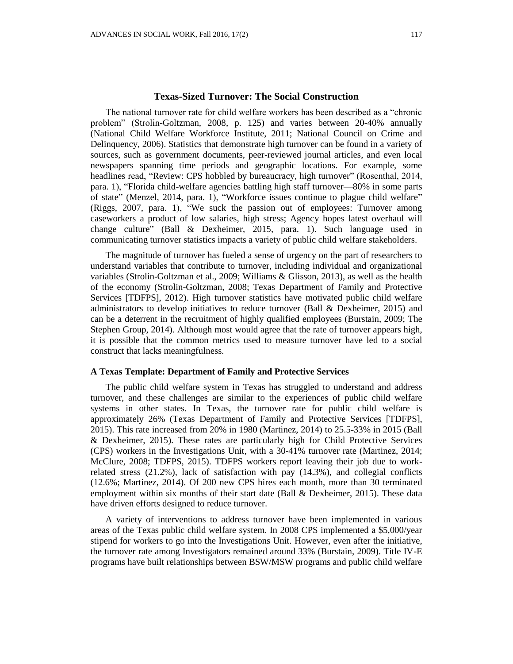The national turnover rate for child welfare workers has been described as a "chronic problem" (Strolin-Goltzman, 2008, p. 125) and varies between 20-40% annually (National Child Welfare Workforce Institute, 2011; National Council on Crime and Delinquency, 2006). Statistics that demonstrate high turnover can be found in a variety of sources, such as government documents, peer-reviewed journal articles, and even local newspapers spanning time periods and geographic locations. For example, some headlines read, "Review: CPS hobbled by bureaucracy, high turnover" (Rosenthal, 2014, para. 1), "Florida child-welfare agencies battling high staff turnover—80% in some parts of state" (Menzel, 2014, para. 1), "Workforce issues continue to plague child welfare" (Riggs, 2007, para. 1), "We suck the passion out of employees: Turnover among caseworkers a product of low salaries, high stress; Agency hopes latest overhaul will change culture" (Ball & Dexheimer, 2015, para. 1). Such language used in communicating turnover statistics impacts a variety of public child welfare stakeholders.

The magnitude of turnover has fueled a sense of urgency on the part of researchers to understand variables that contribute to turnover, including individual and organizational variables (Strolin-Goltzman et al., 2009; Williams & Glisson, 2013), as well as the health of the economy (Strolin-Goltzman, 2008; Texas Department of Family and Protective Services [TDFPS], 2012). High turnover statistics have motivated public child welfare administrators to develop initiatives to reduce turnover (Ball & Dexheimer, 2015) and can be a deterrent in the recruitment of highly qualified employees (Burstain, 2009; The Stephen Group, 2014). Although most would agree that the rate of turnover appears high, it is possible that the common metrics used to measure turnover have led to a social construct that lacks meaningfulness.

#### **A Texas Template: Department of Family and Protective Services**

The public child welfare system in Texas has struggled to understand and address turnover, and these challenges are similar to the experiences of public child welfare systems in other states. In Texas, the turnover rate for public child welfare is approximately 26% (Texas Department of Family and Protective Services [TDFPS], 2015). This rate increased from 20% in 1980 (Martinez, 2014) to 25.5-33% in 2015 (Ball & Dexheimer, 2015). These rates are particularly high for Child Protective Services (CPS) workers in the Investigations Unit, with a 30-41% turnover rate (Martinez, 2014; McClure, 2008; TDFPS, 2015). TDFPS workers report leaving their job due to workrelated stress (21.2%), lack of satisfaction with pay (14.3%), and collegial conflicts (12.6%; Martinez, 2014). Of 200 new CPS hires each month, more than 30 terminated employment within six months of their start date (Ball & Dexheimer, 2015). These data have driven efforts designed to reduce turnover.

A variety of interventions to address turnover have been implemented in various areas of the Texas public child welfare system. In 2008 CPS implemented a \$5,000/year stipend for workers to go into the Investigations Unit. However, even after the initiative, the turnover rate among Investigators remained around 33% (Burstain, 2009). Title IV-E programs have built relationships between BSW/MSW programs and public child welfare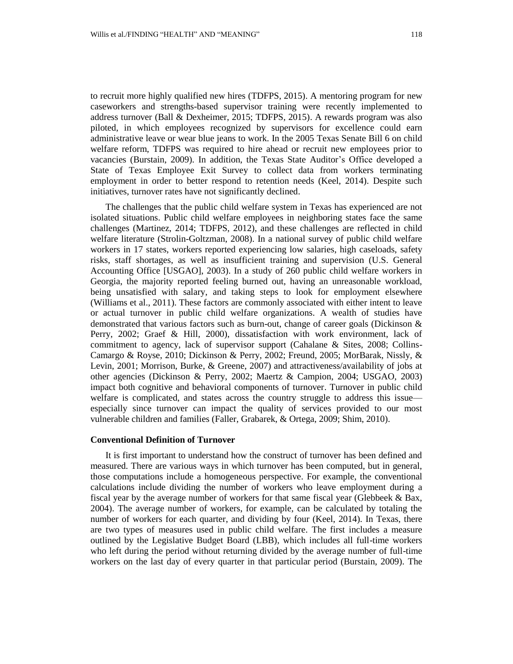to recruit more highly qualified new hires (TDFPS, 2015). A mentoring program for new caseworkers and strengths-based supervisor training were recently implemented to address turnover (Ball & Dexheimer, 2015; TDFPS, 2015). A rewards program was also piloted, in which employees recognized by supervisors for excellence could earn administrative leave or wear blue jeans to work. In the 2005 Texas Senate Bill 6 on child welfare reform, TDFPS was required to hire ahead or recruit new employees prior to vacancies (Burstain, 2009). In addition, the Texas State Auditor's Office developed a State of Texas Employee Exit Survey to collect data from workers terminating employment in order to better respond to retention needs (Keel, 2014). Despite such initiatives, turnover rates have not significantly declined.

The challenges that the public child welfare system in Texas has experienced are not isolated situations. Public child welfare employees in neighboring states face the same challenges (Martinez, 2014; TDFPS, 2012), and these challenges are reflected in child welfare literature (Strolin-Goltzman, 2008). In a national survey of public child welfare workers in 17 states, workers reported experiencing low salaries, high caseloads, safety risks, staff shortages, as well as insufficient training and supervision (U.S. General Accounting Office [USGAO], 2003). In a study of 260 public child welfare workers in Georgia, the majority reported feeling burned out, having an unreasonable workload, being unsatisfied with salary, and taking steps to look for employment elsewhere (Williams et al., 2011). These factors are commonly associated with either intent to leave or actual turnover in public child welfare organizations. A wealth of studies have demonstrated that various factors such as burn-out, change of career goals (Dickinson & Perry, 2002; Graef & Hill, 2000), dissatisfaction with work environment, lack of commitment to agency, lack of supervisor support (Cahalane & Sites, 2008; Collins-Camargo & Royse, 2010; Dickinson & Perry, 2002; Freund, 2005; MorBarak, Nissly, & Levin, 2001; Morrison, Burke, & Greene, 2007) and attractiveness/availability of jobs at other agencies (Dickinson & Perry, 2002; Maertz & Campion, 2004; USGAO, 2003) impact both cognitive and behavioral components of turnover. Turnover in public child welfare is complicated, and states across the country struggle to address this issue especially since turnover can impact the quality of services provided to our most vulnerable children and families (Faller, Grabarek, & Ortega, 2009; Shim, 2010).

#### **Conventional Definition of Turnover**

It is first important to understand how the construct of turnover has been defined and measured. There are various ways in which turnover has been computed, but in general, those computations include a homogeneous perspective. For example, the conventional calculations include dividing the number of workers who leave employment during a fiscal year by the average number of workers for that same fiscal year (Glebbeek & Bax, 2004). The average number of workers, for example, can be calculated by totaling the number of workers for each quarter, and dividing by four (Keel, 2014). In Texas, there are two types of measures used in public child welfare. The first includes a measure outlined by the Legislative Budget Board (LBB), which includes all full-time workers who left during the period without returning divided by the average number of full-time workers on the last day of every quarter in that particular period (Burstain, 2009). The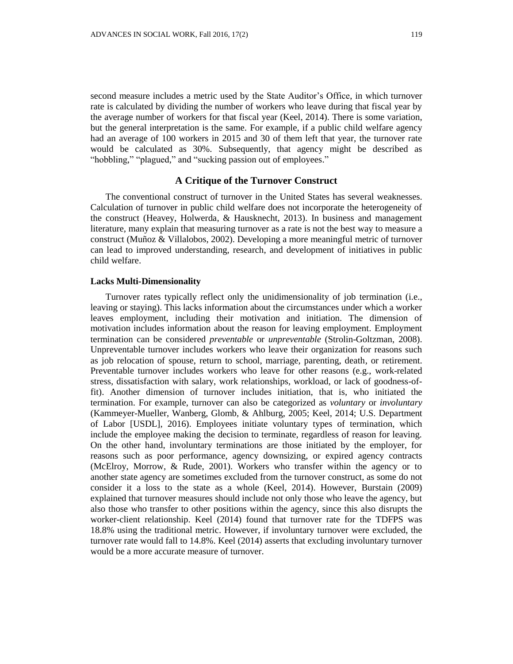second measure includes a metric used by the State Auditor's Office, in which turnover rate is calculated by dividing the number of workers who leave during that fiscal year by the average number of workers for that fiscal year (Keel, 2014). There is some variation, but the general interpretation is the same. For example, if a public child welfare agency had an average of 100 workers in 2015 and 30 of them left that year, the turnover rate would be calculated as 30%. Subsequently, that agency might be described as "hobbling," "plagued," and "sucking passion out of employees."

# **A Critique of the Turnover Construct**

The conventional construct of turnover in the United States has several weaknesses. Calculation of turnover in public child welfare does not incorporate the heterogeneity of the construct (Heavey, Holwerda, & Hausknecht, 2013). In business and management literature, many explain that measuring turnover as a rate is not the best way to measure a construct (Muñoz & Villalobos, 2002). Developing a more meaningful metric of turnover can lead to improved understanding, research, and development of initiatives in public child welfare.

### **Lacks Multi-Dimensionality**

Turnover rates typically reflect only the unidimensionality of job termination (i.e., leaving or staying). This lacks information about the circumstances under which a worker leaves employment, including their motivation and initiation. The dimension of motivation includes information about the reason for leaving employment. Employment termination can be considered *preventable* or *unpreventable* (Strolin-Goltzman, 2008). Unpreventable turnover includes workers who leave their organization for reasons such as job relocation of spouse, return to school, marriage, parenting, death, or retirement. Preventable turnover includes workers who leave for other reasons (e.g., work-related stress, dissatisfaction with salary, work relationships, workload, or lack of goodness-offit). Another dimension of turnover includes initiation, that is, who initiated the termination. For example, turnover can also be categorized as *voluntary* or *involuntary* (Kammeyer-Mueller, Wanberg, Glomb, & Ahlburg, 2005; Keel, 2014; U.S. Department of Labor [USDL], 2016). Employees initiate voluntary types of termination, which include the employee making the decision to terminate, regardless of reason for leaving. On the other hand, involuntary terminations are those initiated by the employer, for reasons such as poor performance, agency downsizing, or expired agency contracts (McElroy, Morrow, & Rude, 2001). Workers who transfer within the agency or to another state agency are sometimes excluded from the turnover construct, as some do not consider it a loss to the state as a whole (Keel, 2014). However, Burstain (2009) explained that turnover measures should include not only those who leave the agency, but also those who transfer to other positions within the agency, since this also disrupts the worker-client relationship. Keel (2014) found that turnover rate for the TDFPS was 18.8% using the traditional metric. However, if involuntary turnover were excluded, the turnover rate would fall to 14.8%. Keel (2014) asserts that excluding involuntary turnover would be a more accurate measure of turnover.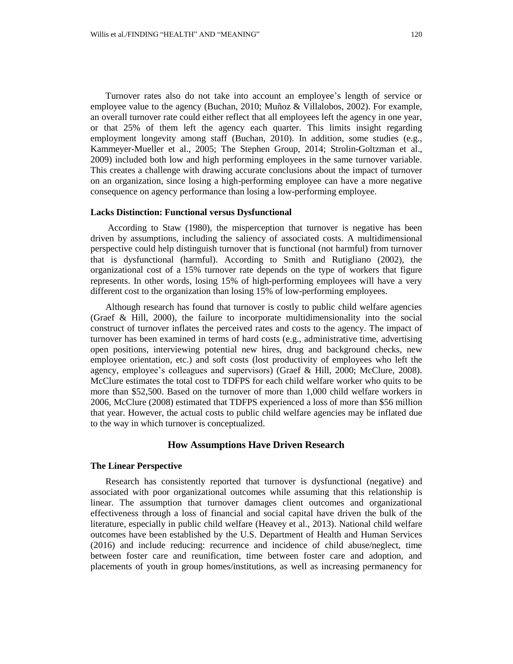Turnover rates also do not take into account an employee's length of service or employee value to the agency (Buchan, 2010; Muñoz & Villalobos, 2002). For example, an overall turnover rate could either reflect that all employees left the agency in one year, or that 25% of them left the agency each quarter. This limits insight regarding employment longevity among staff (Buchan, 2010). In addition, some studies (e.g., Kammeyer-Mueller et al., 2005; The Stephen Group, 2014; Strolin-Goltzman et al., 2009) included both low and high performing employees in the same turnover variable. This creates a challenge with drawing accurate conclusions about the impact of turnover on an organization, since losing a high-performing employee can have a more negative consequence on agency performance than losing a low-performing employee.

### **Lacks Distinction: Functional versus Dysfunctional**

According to Staw (1980), the misperception that turnover is negative has been driven by assumptions, including the saliency of associated costs. A multidimensional perspective could help distinguish turnover that is functional (not harmful) from turnover that is dysfunctional (harmful). According to Smith and Rutigliano (2002), the organizational cost of a 15% turnover rate depends on the type of workers that figure represents. In other words, losing 15% of high-performing employees will have a very different cost to the organization than losing 15% of low-performing employees.

Although research has found that turnover is costly to public child welfare agencies (Graef & Hill, 2000), the failure to incorporate multidimensionality into the social construct of turnover inflates the perceived rates and costs to the agency. The impact of turnover has been examined in terms of hard costs (e.g., administrative time, advertising open positions, interviewing potential new hires, drug and background checks, new employee orientation, etc.) and soft costs (lost productivity of employees who left the agency, employee's colleagues and supervisors) (Graef & Hill, 2000; McClure, 2008). McClure estimates the total cost to TDFPS for each child welfare worker who quits to be more than \$52,500. Based on the turnover of more than 1,000 child welfare workers in 2006, McClure (2008) estimated that TDFPS experienced a loss of more than \$56 million that year. However, the actual costs to public child welfare agencies may be inflated due to the way in which turnover is conceptualized.

### **How Assumptions Have Driven Research**

### **The Linear Perspective**

Research has consistently reported that turnover is dysfunctional (negative) and associated with poor organizational outcomes while assuming that this relationship is linear. The assumption that turnover damages client outcomes and organizational effectiveness through a loss of financial and social capital have driven the bulk of the literature, especially in public child welfare (Heavey et al., 2013). National child welfare outcomes have been established by the U.S. Department of Health and Human Services (2016) and include reducing: recurrence and incidence of child abuse/neglect, time between foster care and reunification, time between foster care and adoption, and placements of youth in group homes/institutions, as well as increasing permanency for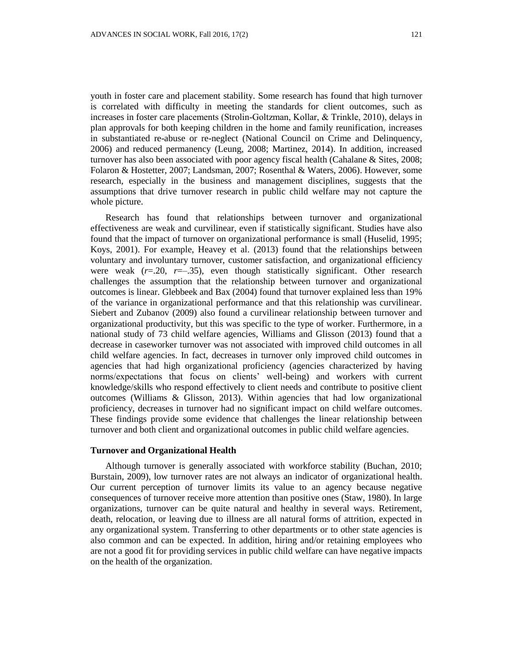youth in foster care and placement stability. Some research has found that high turnover is correlated with difficulty in meeting the standards for client outcomes, such as increases in foster care placements (Strolin-Goltzman, Kollar, & Trinkle, 2010), delays in plan approvals for both keeping children in the home and family reunification, increases in substantiated re-abuse or re-neglect (National Council on Crime and Delinquency, 2006) and reduced permanency (Leung, 2008; Martinez, 2014). In addition, increased turnover has also been associated with poor agency fiscal health (Cahalane & Sites, 2008; Folaron & Hostetter, 2007; Landsman, 2007; Rosenthal & Waters, 2006). However, some research, especially in the business and management disciplines, suggests that the assumptions that drive turnover research in public child welfare may not capture the whole picture.

Research has found that relationships between turnover and organizational effectiveness are weak and curvilinear, even if statistically significant. Studies have also found that the impact of turnover on organizational performance is small (Huselid, 1995; Koys, 2001). For example, Heavey et al. (2013) found that the relationships between voluntary and involuntary turnover, customer satisfaction, and organizational efficiency were weak  $(r=.20, r=.35)$ , even though statistically significant. Other research challenges the assumption that the relationship between turnover and organizational outcomes is linear. Glebbeek and Bax (2004) found that turnover explained less than 19% of the variance in organizational performance and that this relationship was curvilinear. Siebert and Zubanov (2009) also found a curvilinear relationship between turnover and organizational productivity, but this was specific to the type of worker. Furthermore, in a national study of 73 child welfare agencies, Williams and Glisson (2013) found that a decrease in caseworker turnover was not associated with improved child outcomes in all child welfare agencies. In fact, decreases in turnover only improved child outcomes in agencies that had high organizational proficiency (agencies characterized by having norms/expectations that focus on clients' well-being) and workers with current knowledge/skills who respond effectively to client needs and contribute to positive client outcomes (Williams & Glisson, 2013). Within agencies that had low organizational proficiency, decreases in turnover had no significant impact on child welfare outcomes. These findings provide some evidence that challenges the linear relationship between turnover and both client and organizational outcomes in public child welfare agencies.

#### **Turnover and Organizational Health**

Although turnover is generally associated with workforce stability (Buchan, 2010; Burstain, 2009), low turnover rates are not always an indicator of organizational health. Our current perception of turnover limits its value to an agency because negative consequences of turnover receive more attention than positive ones (Staw, 1980). In large organizations, turnover can be quite natural and healthy in several ways. Retirement, death, relocation, or leaving due to illness are all natural forms of attrition, expected in any organizational system. Transferring to other departments or to other state agencies is also common and can be expected. In addition, hiring and/or retaining employees who are not a good fit for providing services in public child welfare can have negative impacts on the health of the organization.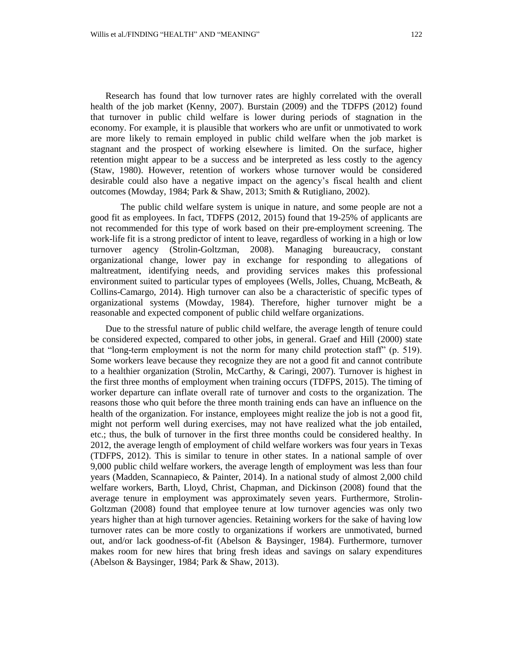Research has found that low turnover rates are highly correlated with the overall health of the job market (Kenny, 2007). Burstain (2009) and the TDFPS (2012) found that turnover in public child welfare is lower during periods of stagnation in the economy. For example, it is plausible that workers who are unfit or unmotivated to work are more likely to remain employed in public child welfare when the job market is stagnant and the prospect of working elsewhere is limited. On the surface, higher retention might appear to be a success and be interpreted as less costly to the agency (Staw, 1980). However, retention of workers whose turnover would be considered desirable could also have a negative impact on the agency's fiscal health and client outcomes (Mowday, 1984; Park & Shaw, 2013; Smith & Rutigliano, 2002).

The public child welfare system is unique in nature, and some people are not a good fit as employees. In fact, TDFPS (2012, 2015) found that 19-25% of applicants are not recommended for this type of work based on their pre-employment screening. The work-life fit is a strong predictor of intent to leave, regardless of working in a high or low turnover agency (Strolin-Goltzman, 2008). Managing bureaucracy, constant organizational change, lower pay in exchange for responding to allegations of maltreatment, identifying needs, and providing services makes this professional environment suited to particular types of employees (Wells, Jolles, Chuang, McBeath, & Collins-Camargo, 2014). High turnover can also be a characteristic of specific types of organizational systems (Mowday, 1984). Therefore, higher turnover might be a reasonable and expected component of public child welfare organizations.

Due to the stressful nature of public child welfare, the average length of tenure could be considered expected, compared to other jobs, in general. Graef and Hill (2000) state that "long-term employment is not the norm for many child protection staff" (p. 519). Some workers leave because they recognize they are not a good fit and cannot contribute to a healthier organization (Strolin, McCarthy, & Caringi, 2007). Turnover is highest in the first three months of employment when training occurs (TDFPS, 2015). The timing of worker departure can inflate overall rate of turnover and costs to the organization. The reasons those who quit before the three month training ends can have an influence on the health of the organization. For instance, employees might realize the job is not a good fit, might not perform well during exercises, may not have realized what the job entailed, etc.; thus, the bulk of turnover in the first three months could be considered healthy. In 2012, the average length of employment of child welfare workers was four years in Texas (TDFPS, 2012). This is similar to tenure in other states. In a national sample of over 9,000 public child welfare workers, the average length of employment was less than four years (Madden, Scannapieco, & Painter, 2014). In a national study of almost 2,000 child welfare workers, Barth, Lloyd, Christ, Chapman, and Dickinson (2008) found that the average tenure in employment was approximately seven years. Furthermore, Strolin-Goltzman (2008) found that employee tenure at low turnover agencies was only two years higher than at high turnover agencies. Retaining workers for the sake of having low turnover rates can be more costly to organizations if workers are unmotivated, burned out, and/or lack goodness-of-fit (Abelson & Baysinger, 1984). Furthermore, turnover makes room for new hires that bring fresh ideas and savings on salary expenditures (Abelson & Baysinger, 1984; Park & Shaw, 2013).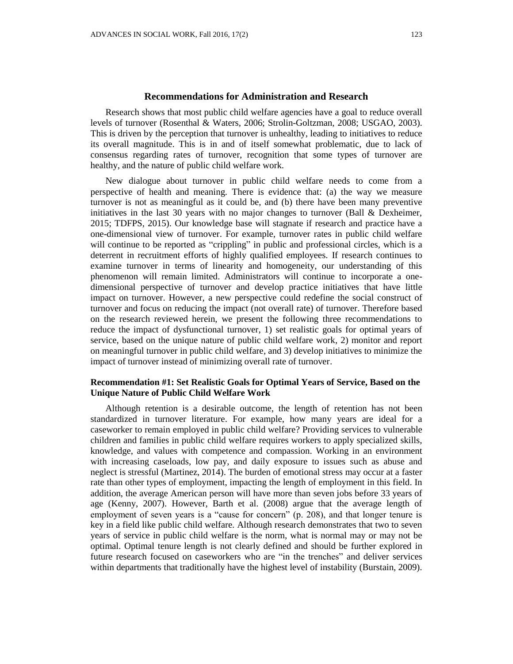## **Recommendations for Administration and Research**

Research shows that most public child welfare agencies have a goal to reduce overall levels of turnover (Rosenthal & Waters, 2006; Strolin-Goltzman, 2008; USGAO, 2003). This is driven by the perception that turnover is unhealthy, leading to initiatives to reduce its overall magnitude. This is in and of itself somewhat problematic, due to lack of consensus regarding rates of turnover, recognition that some types of turnover are healthy, and the nature of public child welfare work.

New dialogue about turnover in public child welfare needs to come from a perspective of health and meaning. There is evidence that: (a) the way we measure turnover is not as meaningful as it could be, and (b) there have been many preventive initiatives in the last 30 years with no major changes to turnover (Ball & Dexheimer, 2015; TDFPS, 2015). Our knowledge base will stagnate if research and practice have a one-dimensional view of turnover. For example, turnover rates in public child welfare will continue to be reported as "crippling" in public and professional circles, which is a deterrent in recruitment efforts of highly qualified employees. If research continues to examine turnover in terms of linearity and homogeneity, our understanding of this phenomenon will remain limited. Administrators will continue to incorporate a onedimensional perspective of turnover and develop practice initiatives that have little impact on turnover. However, a new perspective could redefine the social construct of turnover and focus on reducing the impact (not overall rate) of turnover. Therefore based on the research reviewed herein, we present the following three recommendations to reduce the impact of dysfunctional turnover, 1) set realistic goals for optimal years of service, based on the unique nature of public child welfare work, 2) monitor and report on meaningful turnover in public child welfare, and 3) develop initiatives to minimize the impact of turnover instead of minimizing overall rate of turnover.

# **Recommendation #1: Set Realistic Goals for Optimal Years of Service, Based on the Unique Nature of Public Child Welfare Work**

Although retention is a desirable outcome, the length of retention has not been standardized in turnover literature. For example, how many years are ideal for a caseworker to remain employed in public child welfare? Providing services to vulnerable children and families in public child welfare requires workers to apply specialized skills, knowledge, and values with competence and compassion. Working in an environment with increasing caseloads, low pay, and daily exposure to issues such as abuse and neglect is stressful (Martinez, 2014). The burden of emotional stress may occur at a faster rate than other types of employment, impacting the length of employment in this field. In addition, the average American person will have more than seven jobs before 33 years of age (Kenny, 2007). However, Barth et al. (2008) argue that the average length of employment of seven years is a "cause for concern" (p. 208), and that longer tenure is key in a field like public child welfare. Although research demonstrates that two to seven years of service in public child welfare is the norm, what is normal may or may not be optimal. Optimal tenure length is not clearly defined and should be further explored in future research focused on caseworkers who are "in the trenches" and deliver services within departments that traditionally have the highest level of instability (Burstain, 2009).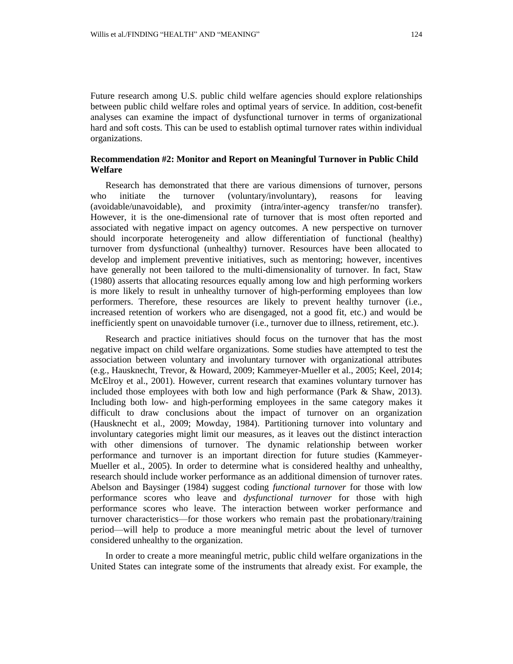Future research among U.S. public child welfare agencies should explore relationships between public child welfare roles and optimal years of service. In addition, cost-benefit analyses can examine the impact of dysfunctional turnover in terms of organizational hard and soft costs. This can be used to establish optimal turnover rates within individual organizations.

# **Recommendation #2: Monitor and Report on Meaningful Turnover in Public Child Welfare**

Research has demonstrated that there are various dimensions of turnover, persons who initiate the turnover (voluntary/involuntary), reasons for leaving (avoidable/unavoidable), and proximity (intra/inter-agency transfer/no transfer). However, it is the one-dimensional rate of turnover that is most often reported and associated with negative impact on agency outcomes. A new perspective on turnover should incorporate heterogeneity and allow differentiation of functional (healthy) turnover from dysfunctional (unhealthy) turnover. Resources have been allocated to develop and implement preventive initiatives, such as mentoring; however, incentives have generally not been tailored to the multi-dimensionality of turnover. In fact, Staw (1980) asserts that allocating resources equally among low and high performing workers is more likely to result in unhealthy turnover of high-performing employees than low performers. Therefore, these resources are likely to prevent healthy turnover (i.e., increased retention of workers who are disengaged, not a good fit, etc.) and would be inefficiently spent on unavoidable turnover (i.e., turnover due to illness, retirement, etc.).

Research and practice initiatives should focus on the turnover that has the most negative impact on child welfare organizations. Some studies have attempted to test the association between voluntary and involuntary turnover with organizational attributes (e.g., Hausknecht, Trevor, & Howard, 2009; Kammeyer-Mueller et al., 2005; Keel, 2014; McElroy et al., 2001). However, current research that examines voluntary turnover has included those employees with both low and high performance (Park & Shaw, 2013). Including both low- and high-performing employees in the same category makes it difficult to draw conclusions about the impact of turnover on an organization (Hausknecht et al., 2009; Mowday, 1984). Partitioning turnover into voluntary and involuntary categories might limit our measures, as it leaves out the distinct interaction with other dimensions of turnover. The dynamic relationship between worker performance and turnover is an important direction for future studies (Kammeyer-Mueller et al., 2005). In order to determine what is considered healthy and unhealthy, research should include worker performance as an additional dimension of turnover rates. Abelson and Baysinger (1984) suggest coding *functional turnover* for those with low performance scores who leave and *dysfunctional turnover* for those with high performance scores who leave. The interaction between worker performance and turnover characteristics—for those workers who remain past the probationary/training period—will help to produce a more meaningful metric about the level of turnover considered unhealthy to the organization.

In order to create a more meaningful metric, public child welfare organizations in the United States can integrate some of the instruments that already exist. For example, the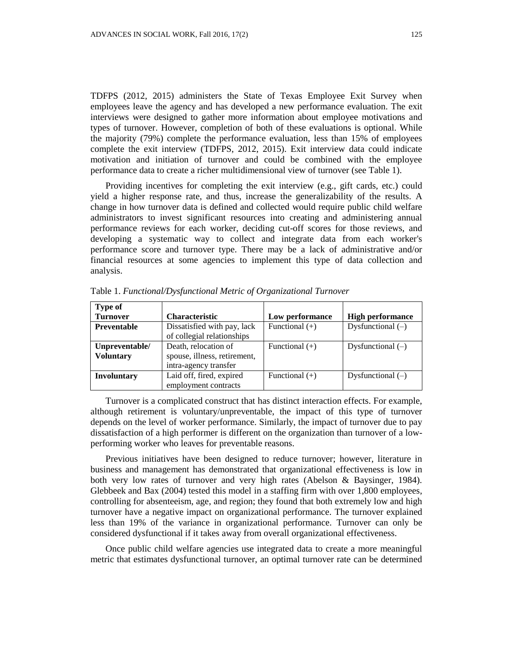TDFPS (2012, 2015) administers the State of Texas Employee Exit Survey when employees leave the agency and has developed a new performance evaluation. The exit interviews were designed to gather more information about employee motivations and types of turnover. However, completion of both of these evaluations is optional. While the majority (79%) complete the performance evaluation, less than 15% of employees complete the exit interview (TDFPS, 2012, 2015). Exit interview data could indicate motivation and initiation of turnover and could be combined with the employee performance data to create a richer multidimensional view of turnover (see Table 1).

Providing incentives for completing the exit interview (e.g., gift cards, etc.) could yield a higher response rate, and thus, increase the generalizability of the results. A change in how turnover data is defined and collected would require public child welfare administrators to invest significant resources into creating and administering annual performance reviews for each worker, deciding cut-off scores for those reviews, and developing a systematic way to collect and integrate data from each worker's performance score and turnover type. There may be a lack of administrative and/or financial resources at some agencies to implement this type of data collection and analysis.

| <b>Type of</b>     |                              |                  |                         |
|--------------------|------------------------------|------------------|-------------------------|
| <b>Turnover</b>    | <b>Characteristic</b>        | Low performance  | <b>High performance</b> |
| Preventable        | Dissatisfied with pay, lack  | Functional $(+)$ | Dysfunctional $(-)$     |
|                    | of collegial relationships   |                  |                         |
| Unpreventable/     | Death, relocation of         | Functional $(+)$ | Dysfunctional $(-)$     |
| <b>Voluntary</b>   | spouse, illness, retirement, |                  |                         |
|                    | intra-agency transfer        |                  |                         |
| <b>Involuntary</b> | Laid off, fired, expired     | Functional $(+)$ | Dysfunctional $(-)$     |
|                    | employment contracts         |                  |                         |

Table 1. *Functional/Dysfunctional Metric of Organizational Turnover*

Turnover is a complicated construct that has distinct interaction effects. For example, although retirement is voluntary/unpreventable, the impact of this type of turnover depends on the level of worker performance. Similarly, the impact of turnover due to pay dissatisfaction of a high performer is different on the organization than turnover of a lowperforming worker who leaves for preventable reasons.

Previous initiatives have been designed to reduce turnover; however, literature in business and management has demonstrated that organizational effectiveness is low in both very low rates of turnover and very high rates (Abelson & Baysinger, 1984). Glebbeek and Bax (2004) tested this model in a staffing firm with over 1,800 employees, controlling for absenteeism, age, and region; they found that both extremely low and high turnover have a negative impact on organizational performance. The turnover explained less than 19% of the variance in organizational performance. Turnover can only be considered dysfunctional if it takes away from overall organizational effectiveness.

Once public child welfare agencies use integrated data to create a more meaningful metric that estimates dysfunctional turnover, an optimal turnover rate can be determined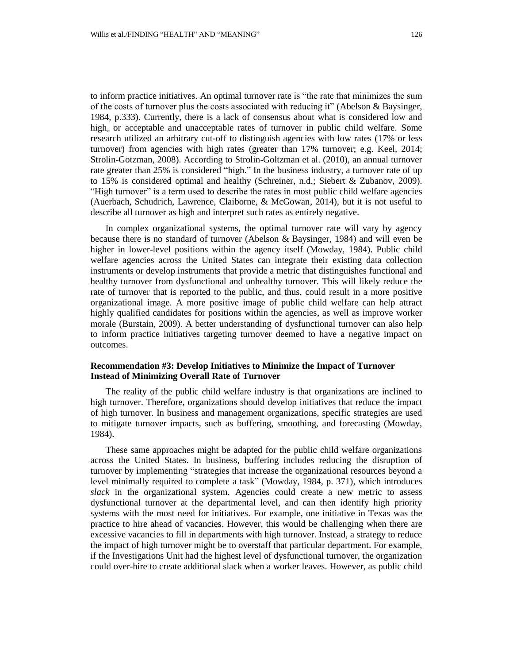to inform practice initiatives. An optimal turnover rate is "the rate that minimizes the sum of the costs of turnover plus the costs associated with reducing it" (Abelson & Baysinger, 1984, p.333). Currently, there is a lack of consensus about what is considered low and high, or acceptable and unacceptable rates of turnover in public child welfare. Some research utilized an arbitrary cut-off to distinguish agencies with low rates (17% or less turnover) from agencies with high rates (greater than 17% turnover; e.g. Keel, 2014; Strolin-Gotzman, 2008). According to Strolin-Goltzman et al. (2010), an annual turnover rate greater than 25% is considered "high." In the business industry, a turnover rate of up to 15% is considered optimal and healthy (Schreiner, n.d.; Siebert & Zubanov, 2009). "High turnover" is a term used to describe the rates in most public child welfare agencies (Auerbach, Schudrich, Lawrence, Claiborne, & McGowan, 2014), but it is not useful to describe all turnover as high and interpret such rates as entirely negative.

In complex organizational systems, the optimal turnover rate will vary by agency because there is no standard of turnover (Abelson & Baysinger, 1984) and will even be higher in lower-level positions within the agency itself (Mowday, 1984). Public child welfare agencies across the United States can integrate their existing data collection instruments or develop instruments that provide a metric that distinguishes functional and healthy turnover from dysfunctional and unhealthy turnover. This will likely reduce the rate of turnover that is reported to the public, and thus, could result in a more positive organizational image. A more positive image of public child welfare can help attract highly qualified candidates for positions within the agencies, as well as improve worker morale (Burstain, 2009). A better understanding of dysfunctional turnover can also help to inform practice initiatives targeting turnover deemed to have a negative impact on outcomes.

## **Recommendation #3: Develop Initiatives to Minimize the Impact of Turnover Instead of Minimizing Overall Rate of Turnover**

The reality of the public child welfare industry is that organizations are inclined to high turnover. Therefore, organizations should develop initiatives that reduce the impact of high turnover. In business and management organizations, specific strategies are used to mitigate turnover impacts, such as buffering, smoothing, and forecasting (Mowday, 1984).

These same approaches might be adapted for the public child welfare organizations across the United States. In business, buffering includes reducing the disruption of turnover by implementing "strategies that increase the organizational resources beyond a level minimally required to complete a task" (Mowday, 1984, p. 371), which introduces *slack* in the organizational system. Agencies could create a new metric to assess dysfunctional turnover at the departmental level, and can then identify high priority systems with the most need for initiatives. For example, one initiative in Texas was the practice to hire ahead of vacancies. However, this would be challenging when there are excessive vacancies to fill in departments with high turnover. Instead, a strategy to reduce the impact of high turnover might be to overstaff that particular department. For example, if the Investigations Unit had the highest level of dysfunctional turnover, the organization could over-hire to create additional slack when a worker leaves. However, as public child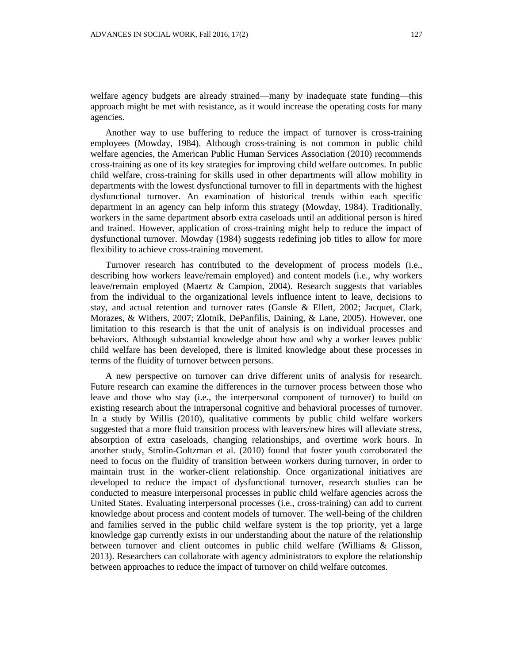welfare agency budgets are already strained—many by inadequate state funding—this approach might be met with resistance, as it would increase the operating costs for many agencies.

Another way to use buffering to reduce the impact of turnover is cross-training employees (Mowday, 1984). Although cross-training is not common in public child welfare agencies, the American Public Human Services Association (2010) recommends cross-training as one of its key strategies for improving child welfare outcomes. In public child welfare, cross-training for skills used in other departments will allow mobility in departments with the lowest dysfunctional turnover to fill in departments with the highest dysfunctional turnover. An examination of historical trends within each specific department in an agency can help inform this strategy (Mowday, 1984). Traditionally, workers in the same department absorb extra caseloads until an additional person is hired and trained. However, application of cross-training might help to reduce the impact of dysfunctional turnover. Mowday (1984) suggests redefining job titles to allow for more flexibility to achieve cross-training movement.

Turnover research has contributed to the development of process models (i.e., describing how workers leave/remain employed) and content models (i.e., why workers leave/remain employed (Maertz & Campion, 2004). Research suggests that variables from the individual to the organizational levels influence intent to leave, decisions to stay, and actual retention and turnover rates (Gansle & Ellett, 2002; Jacquet, Clark, Morazes, & Withers, 2007; Zlotnik, DePanfilis, Daining, & Lane, 2005). However, one limitation to this research is that the unit of analysis is on individual processes and behaviors. Although substantial knowledge about how and why a worker leaves public child welfare has been developed, there is limited knowledge about these processes in terms of the fluidity of turnover between persons.

A new perspective on turnover can drive different units of analysis for research. Future research can examine the differences in the turnover process between those who leave and those who stay (i.e., the interpersonal component of turnover) to build on existing research about the intrapersonal cognitive and behavioral processes of turnover. In a study by Willis (2010), qualitative comments by public child welfare workers suggested that a more fluid transition process with leavers/new hires will alleviate stress, absorption of extra caseloads, changing relationships, and overtime work hours. In another study, Strolin-Goltzman et al. (2010) found that foster youth corroborated the need to focus on the fluidity of transition between workers during turnover, in order to maintain trust in the worker-client relationship. Once organizational initiatives are developed to reduce the impact of dysfunctional turnover, research studies can be conducted to measure interpersonal processes in public child welfare agencies across the United States. Evaluating interpersonal processes (i.e., cross-training) can add to current knowledge about process and content models of turnover. The well-being of the children and families served in the public child welfare system is the top priority, yet a large knowledge gap currently exists in our understanding about the nature of the relationship between turnover and client outcomes in public child welfare (Williams & Glisson, 2013). Researchers can collaborate with agency administrators to explore the relationship between approaches to reduce the impact of turnover on child welfare outcomes.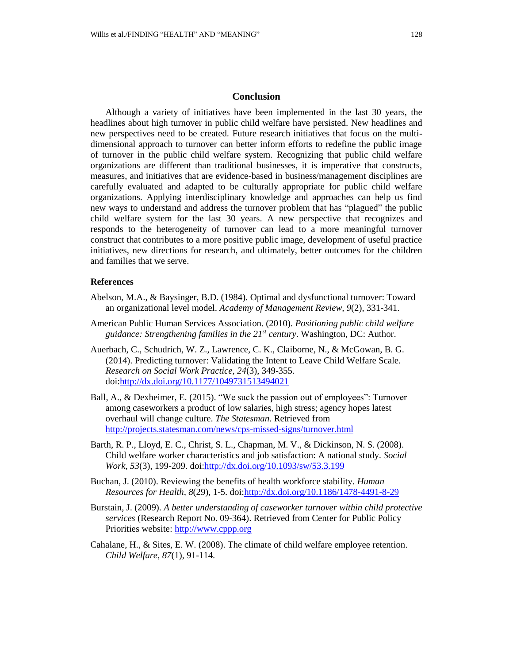## **Conclusion**

Although a variety of initiatives have been implemented in the last 30 years, the headlines about high turnover in public child welfare have persisted. New headlines and new perspectives need to be created. Future research initiatives that focus on the multidimensional approach to turnover can better inform efforts to redefine the public image of turnover in the public child welfare system. Recognizing that public child welfare organizations are different than traditional businesses, it is imperative that constructs, measures, and initiatives that are evidence-based in business/management disciplines are carefully evaluated and adapted to be culturally appropriate for public child welfare organizations. Applying interdisciplinary knowledge and approaches can help us find new ways to understand and address the turnover problem that has "plagued" the public child welfare system for the last 30 years. A new perspective that recognizes and responds to the heterogeneity of turnover can lead to a more meaningful turnover construct that contributes to a more positive public image, development of useful practice initiatives, new directions for research, and ultimately, better outcomes for the children and families that we serve.

### **References**

- Abelson, M.A., & Baysinger, B.D. (1984). Optimal and dysfunctional turnover: Toward an organizational level model. *Academy of Management Review, 9*(2), 331-341.
- American Public Human Services Association. (2010). *Positioning public child welfare guidance: Strengthening families in the 21st century*. Washington, DC: Author.
- Auerbach, C., Schudrich, W. Z., Lawrence, C. K., Claiborne, N., & McGowan, B. G. (2014). Predicting turnover: Validating the Intent to Leave Child Welfare Scale. *Research on Social Work Practice, 24*(3), 349-355. doi[:http://dx.doi.org/10.1177/1049731513494021](http://dx.doi.org/10.1177/1049731513494021)
- Ball, A., & Dexheimer, E. (2015). "We suck the passion out of employees": Turnover among caseworkers a product of low salaries, high stress; agency hopes latest overhaul will change culture. *The Statesman*. Retrieved from <http://projects.statesman.com/news/cps-missed-signs/turnover.html>
- Barth, R. P., Lloyd, E. C., Christ, S. L., Chapman, M. V., & Dickinson, N. S. (2008). Child welfare worker characteristics and job satisfaction: A national study. *Social Work, 53*(3), 199-209. doi[:http://dx.doi.org/10.1093/sw/53.3.199](http://dx.doi.org/10.1093/sw/53.3.199)
- Buchan, J. (2010). Reviewing the benefits of health workforce stability. *Human Resources for Health, 8*(29), 1-5. doi[:http://dx.doi.org/10.1186/1478-4491-8-29](http://dx.doi.org/10.1186/1478-4491-8-29)
- Burstain, J. (2009). *A better understanding of caseworker turnover within child protective services* (Research Report No. 09-364). Retrieved from Center for Public Policy Priorities website: [http://www.cppp.org](http://www.cppp.org/)
- Cahalane, H., & Sites, E. W. (2008). The climate of child welfare employee retention. *Child Welfare, 87*(1), 91-114.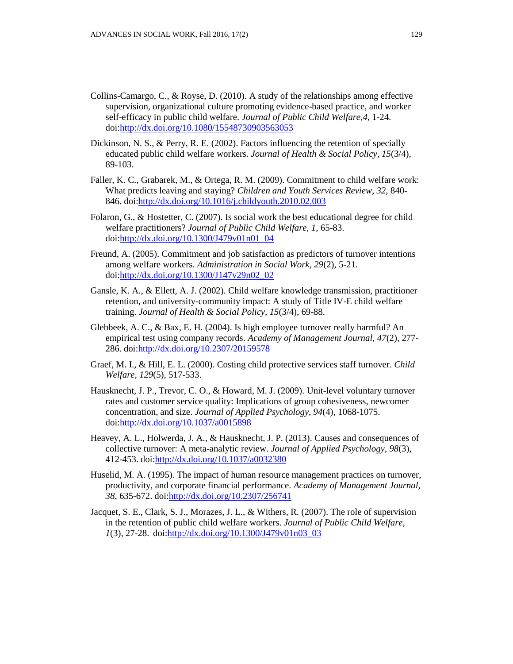- Collins-Camargo, C., & Royse, D. (2010). A study of the relationships among effective supervision, organizational culture promoting evidence-based practice, and worker self-efficacy in public child welfare. *Journal of Public Child Welfare,4*, 1-24. doi[:http://dx.doi.org/10.1080/15548730903563053](http://dx.doi.org/10.1080/15548730903563053)
- Dickinson, N. S., & Perry, R. E. (2002). Factors influencing the retention of specially educated public child welfare workers. *Journal of Health & Social Policy, 15*(3/4), 89-103.
- Faller, K. C., Grabarek, M., & Ortega, R. M. (2009). Commitment to child welfare work: What predicts leaving and staying? *Children and Youth Services Review, 32*, 840- 846. doi[:http://dx.doi.org/10.1016/j.childyouth.2010.02.003](http://dx.doi.org/10.1016/j.childyouth.2010.02.003)
- Folaron, G., & Hostetter, C. (2007). Is social work the best educational degree for child welfare practitioners? *Journal of Public Child Welfare, 1*, 65-83. doi[:http://dx.doi.org/10.1300/J479v01n01\\_04](http://dx.doi.org/10.1300/J479v01n01_04)
- Freund, A. (2005). Commitment and job satisfaction as predictors of turnover intentions among welfare workers. *Administration in Social Work, 29*(2), 5-21. doi[:http://dx.doi.org/10.1300/J147v29n02\\_02](http://dx.doi.org/10.1300/J147v29n02_02)
- Gansle, K. A., & Ellett, A. J. (2002). Child welfare knowledge transmission, practitioner retention, and university-community impact: A study of Title IV-E child welfare training. *Journal of Health & Social Policy, 15*(3/4), 69-88.
- Glebbeek, A. C., & Bax, E. H. (2004). Is high employee turnover really harmful? An empirical test using company records. *Academy of Management Journal, 47*(2), 277- 286. doi[:http://dx.doi.org/10.2307/20159578](http://dx.doi.org/10.2307/20159578)
- Graef, M. I., & Hill, E. L. (2000). Costing child protective services staff turnover. *Child Welfare, 129*(5), 517-533.
- Hausknecht, J. P., Trevor, C. O., & Howard, M. J. (2009). Unit-level voluntary turnover rates and customer service quality: Implications of group cohesiveness, newcomer concentration, and size. *Journal of Applied Psychology, 94*(4), 1068-1075. doi[:http://dx.doi.org/10.1037/a0015898](http://dx.doi.org/10.1037/a0015898)
- Heavey, A. L., Holwerda, J. A., & Hausknecht, J. P. (2013). Causes and consequences of collective turnover: A meta-analytic review. *Journal of Applied Psychology, 98*(3), 412-453. doi[:http://dx.doi.org/10.1037/a0032380](http://dx.doi.org/10.1037/a0032380)
- Huselid, M. A. (1995). The impact of human resource management practices on turnover, productivity, and corporate financial performance. *Academy of Management Journal, 38*, 635-672. doi[:http://dx.doi.org/10.2307/256741](http://dx.doi.org/10.2307/256741)
- Jacquet, S. E., Clark, S. J., Morazes, J. L., & Withers, R. (2007). The role of supervision in the retention of public child welfare workers. *Journal of Public Child Welfare, 1*(3), 27-28. doi[:http://dx.doi.org/10.1300/J479v01n03\\_03](http://dx.doi.org/10.1300/J479v01n03_03)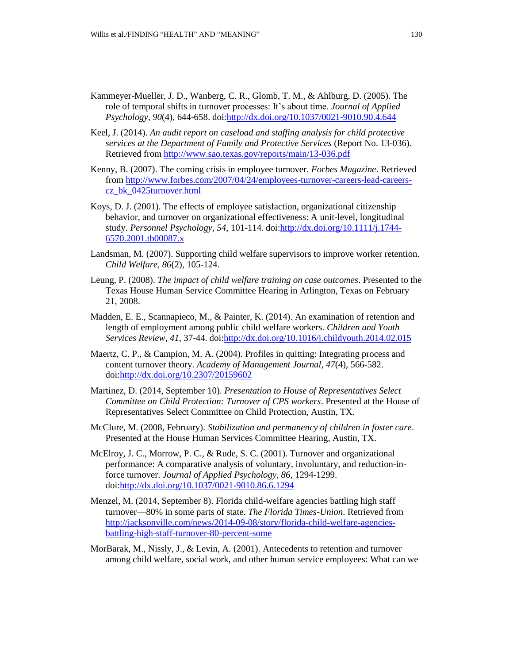- Kammeyer-Mueller, J. D., Wanberg, C. R., Glomb, T. M., & Ahlburg, D. (2005). The role of temporal shifts in turnover processes: It's about time. *Journal of Applied Psychology, 90*(4), 644-658. doi[:http://dx.doi.org/10.1037/0021-9010.90.4.644](http://dx.doi.org/10.1037/0021-9010.90.4.644)
- Keel, J. (2014). *An audit report on caseload and staffing analysis for child protective services at the Department of Family and Protective Services* (Report No. 13-036). Retrieved fro[m http://www.sao.texas.gov/reports/main/13-036.pdf](http://www.sao.texas.gov/reports/main/13-036.pdf)
- Kenny, B. (2007). The coming crisis in employee turnover. *Forbes Magazine*. Retrieved from [http://www.forbes.com/2007/04/24/employees-turnover-careers-lead-careers](http://www.forbes.com/2007/04/24/employees-turnover-careers-lead-careers-cz_bk_0425turnover.html)[cz\\_bk\\_0425turnover.html](http://www.forbes.com/2007/04/24/employees-turnover-careers-lead-careers-cz_bk_0425turnover.html)
- Koys, D. J. (2001). The effects of employee satisfaction, organizational citizenship behavior, and turnover on organizational effectiveness: A unit-level, longitudinal study. *Personnel Psychology, 54*, 101-114. doi[:http://dx.doi.org/10.1111/j.1744-](http://dx.doi.org/10.1111/j.1744-6570.2001.tb00087.x) [6570.2001.tb00087.x](http://dx.doi.org/10.1111/j.1744-6570.2001.tb00087.x)
- Landsman, M. (2007). Supporting child welfare supervisors to improve worker retention*. Child Welfare, 86*(2), 105-124.
- Leung, P. (2008). *The impact of child welfare training on case outcomes*. Presented to the Texas House Human Service Committee Hearing in Arlington, Texas on February 21, 2008.
- Madden, E. E., Scannapieco, M., & Painter, K. (2014). An examination of retention and length of employment among public child welfare workers. *Children and Youth Services Review, 41*, 37-44. doi[:http://dx.doi.org/10.1016/j.childyouth.2014.02.015](http://dx.doi.org/10.1016/j.childyouth.2014.02.015)
- Maertz, C. P., & Campion, M. A. (2004). Profiles in quitting: Integrating process and content turnover theory. *Academy of Management Journal, 47*(4), 566-582. doi[:http://dx.doi.org/10.2307/20159602](http://dx.doi.org/10.2307/20159602)
- Martinez, D. (2014, September 10). *Presentation to House of Representatives Select Committee on Child Protection: Turnover of CPS workers*. Presented at the House of Representatives Select Committee on Child Protection, Austin, TX.
- McClure, M. (2008, February). *Stabilization and permanency of children in foster care*. Presented at the House Human Services Committee Hearing, Austin, TX.
- McElroy, J. C., Morrow, P. C., & Rude, S. C. (2001). Turnover and organizational performance: A comparative analysis of voluntary, involuntary, and reduction-inforce turnover. *Journal of Applied Psychology, 86*, 1294-1299. doi[:http://dx.doi.org/10.1037/0021-9010.86.6.1294](http://dx.doi.org/10.1037/0021-9010.86.6.1294)
- Menzel, M. (2014, September 8). Florida child-welfare agencies battling high staff turnover—80% in some parts of state. *The Florida Times-Union*. Retrieved from [http://jacksonville.com/news/2014-09-08/story/florida-child-welfare-agencies](http://jacksonville.com/news/2014-09-08/story/florida-child-welfare-agencies-battling-high-staff-turnover-80-percent-some)[battling-high-staff-turnover-80-percent-some](http://jacksonville.com/news/2014-09-08/story/florida-child-welfare-agencies-battling-high-staff-turnover-80-percent-some)
- MorBarak, M., Nissly, J., & Levin, A. (2001). Antecedents to retention and turnover among child welfare, social work, and other human service employees: What can we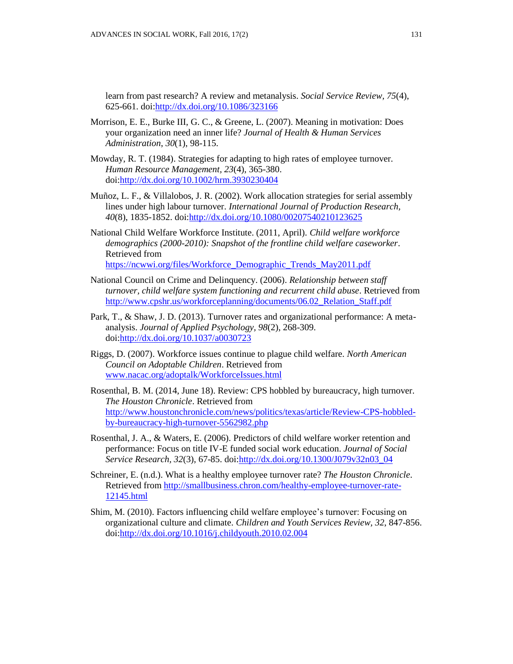learn from past research? A review and metanalysis. *Social Service Review, 75*(4), 625-661. doi[:http://dx.doi.org/10.1086/323166](http://dx.doi.org/10.1086/323166)

- Morrison, E. E., Burke III, G. C., & Greene, L. (2007). Meaning in motivation: Does your organization need an inner life? *Journal of Health & Human Services Administration*, *30*(1), 98-115.
- Mowday, R. T. (1984). Strategies for adapting to high rates of employee turnover. *Human Resource Management, 23*(4), 365-380. doi[:http://dx.doi.org/10.1002/hrm.3930230404](http://dx.doi.org/10.1002/hrm.3930230404)
- Muñoz, L. F., & Villalobos, J. R. (2002). Work allocation strategies for serial assembly lines under high labour turnover. *International Journal of Production Research, 40*(8), 1835-1852. doi[:http://dx.doi.org/10.1080/00207540210123625](http://dx.doi.org/10.1080/00207540210123625)
- National Child Welfare Workforce Institute. (2011, April). *Child welfare workforce demographics (2000-2010): Snapshot of the frontline child welfare caseworker*. Retrieved from [https://ncwwi.org/files/Workforce\\_Demographic\\_Trends\\_May2011.pdf](https://ncwwi.org/files/Workforce_Demographic_Trends_May2011.pdf)
- National Council on Crime and Delinquency. (2006). *Relationship between staff turnover, child welfare system functioning and recurrent child abuse*. Retrieved from [http://www.cpshr.us/workforceplanning/documents/06.02\\_Relation\\_Staff.pdf](http://www.cpshr.us/workforceplanning/documents/06.02_Relation_Staff.pdf)
- Park, T., & Shaw, J. D. (2013). Turnover rates and organizational performance: A metaanalysis. *Journal of Applied Psychology, 98*(2), 268-309. doi[:http://dx.doi.org/10.1037/a0030723](http://dx.doi.org/10.1037/a0030723)
- Riggs, D. (2007). Workforce issues continue to plague child welfare. *North American Council on Adoptable Children*. Retrieved from [www.nacac.org/adoptalk/WorkforceIssues.html](http://www.nacac.org/adoptalk/WorkforceIssues.html)
- Rosenthal, B. M. (2014, June 18). Review: CPS hobbled by bureaucracy, high turnover. *The Houston Chronicle*. Retrieved from [http://www.houstonchronicle.com/news/politics/texas/article/Review-CPS-hobbled](http://www.houstonchronicle.com/news/politics/texas/article/Review-CPS-hobbled-by-bureaucracy-high-turnover-5562982.php)[by-bureaucracy-high-turnover-5562982.php](http://www.houstonchronicle.com/news/politics/texas/article/Review-CPS-hobbled-by-bureaucracy-high-turnover-5562982.php)
- Rosenthal, J. A., & Waters, E. (2006). Predictors of child welfare worker retention and performance: Focus on title IV-E funded social work education. *Journal of Social Service Research, 32*(3), 67-85. doi[:http://dx.doi.org/10.1300/J079v32n03\\_04](http://dx.doi.org/10.1300/J079v32n03_04)
- Schreiner, E. (n.d.). What is a healthy employee turnover rate? *The Houston Chronicle*. Retrieved fro[m http://smallbusiness.chron.com/healthy-employee-turnover-rate-](http://smallbusiness.chron.com/healthy-employee-turnover-rate-12145.html)[12145.html](http://smallbusiness.chron.com/healthy-employee-turnover-rate-12145.html)
- Shim, M. (2010). Factors influencing child welfare employee's turnover: Focusing on organizational culture and climate. *Children and Youth Services Review, 32*, 847-856. doi[:http://dx.doi.org/10.1016/j.childyouth.2010.02.004](http://dx.doi.org/10.1016/j.childyouth.2010.02.004)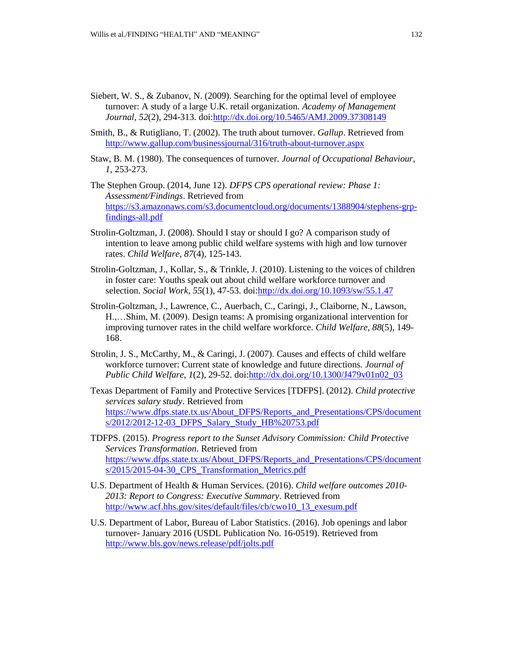- Siebert, W. S., & Zubanov, N. (2009). Searching for the optimal level of employee turnover: A study of a large U.K. retail organization. *Academy of Management Journal, 52*(2), 294-313. doi[:http://dx.doi.org/10.5465/AMJ.2009.37308149](http://dx.doi.org/10.5465/AMJ.2009.37308149)
- Smith, B., & Rutigliano, T. (2002). The truth about turnover. *Gallup*. Retrieved from <http://www.gallup.com/businessjournal/316/truth-about-turnover.aspx>
- Staw, B. M. (1980). The consequences of turnover. *Journal of Occupational Behaviour, 1*, 253-273.
- The Stephen Group. (2014, June 12). *DFPS CPS operational review: Phase 1: Assessment/Findings*. Retrieved from [https://s3.amazonaws.com/s3.documentcloud.org/documents/1388904/stephens-grp](https://s3.amazonaws.com/s3.documentcloud.org/documents/1388904/stephens-grp-findings-all.pdf)[findings-all.pdf](https://s3.amazonaws.com/s3.documentcloud.org/documents/1388904/stephens-grp-findings-all.pdf)
- Strolin-Goltzman, J. (2008). Should I stay or should I go? A comparison study of intention to leave among public child welfare systems with high and low turnover rates. *Child Welfare, 87*(4), 125-143.
- Strolin-Goltzman, J., Kollar, S., & Trinkle, J. (2010). Listening to the voices of children in foster care: Youths speak out about child welfare workforce turnover and selection. *Social Work, 55*(1), 47-53. doi[:http://dx.doi.org/10.1093/sw/55.1.47](http://dx.doi.org/10.1093/sw/55.1.47)
- Strolin-Goltzman, J., Lawrence, C., Auerbach, C., Caringi, J., Claiborne, N., Lawson, H.,…Shim, M. (2009). Design teams: A promising organizational intervention for improving turnover rates in the child welfare workforce. *Child Welfare, 88*(5), 149- 168.
- Strolin, J. S., McCarthy, M., & Caringi, J. (2007). Causes and effects of child welfare workforce turnover: Current state of knowledge and future directions*. Journal of Public Child Welfare, 1*(2), 29-52. doi[:http://dx.doi.org/10.1300/J479v01n02\\_03](http://dx.doi.org/10.1300/J479v01n02_03)
- Texas Department of Family and Protective Services [TDFPS]. (2012). *Child protective services salary study*. Retrieved from [https://www.dfps.state.tx.us/About\\_DFPS/Reports\\_and\\_Presentations/CPS/document](https://www.dfps.state.tx.us/About_DFPS/Reports_and_Presentations/CPS/documents/2012/2012-12-03_DFPS_Salary_Study_HB%20753.pdf) [s/2012/2012-12-03\\_DFPS\\_Salary\\_Study\\_HB%20753.pdf](https://www.dfps.state.tx.us/About_DFPS/Reports_and_Presentations/CPS/documents/2012/2012-12-03_DFPS_Salary_Study_HB%20753.pdf)
- TDFPS. (2015). *Progress report to the Sunset Advisory Commission: Child Protective Services Transformation*. Retrieved from [https://www.dfps.state.tx.us/About\\_DFPS/Reports\\_and\\_Presentations/CPS/document](https://www.dfps.state.tx.us/About_DFPS/Reports_and_Presentations/CPS/documents/2015/2015-04-30_CPS_Transformation_Metrics.pdf) s/2015/2015-04-30 CPS Transformation Metrics.pdf
- U.S. Department of Health & Human Services. (2016). *Child welfare outcomes 2010- 2013: Report to Congress: Executive Summary*. Retrieved from [http://www.acf.hhs.gov/sites/default/files/cb/cwo10\\_13\\_exesum.pdf](http://www.acf.hhs.gov/sites/default/files/cb/cwo10_13_exesum.pdf)
- U.S. Department of Labor, Bureau of Labor Statistics. (2016). Job openings and labor turnover- January 2016 (USDL Publication No. 16-0519). Retrieved from <http://www.bls.gov/news.release/pdf/jolts.pdf>